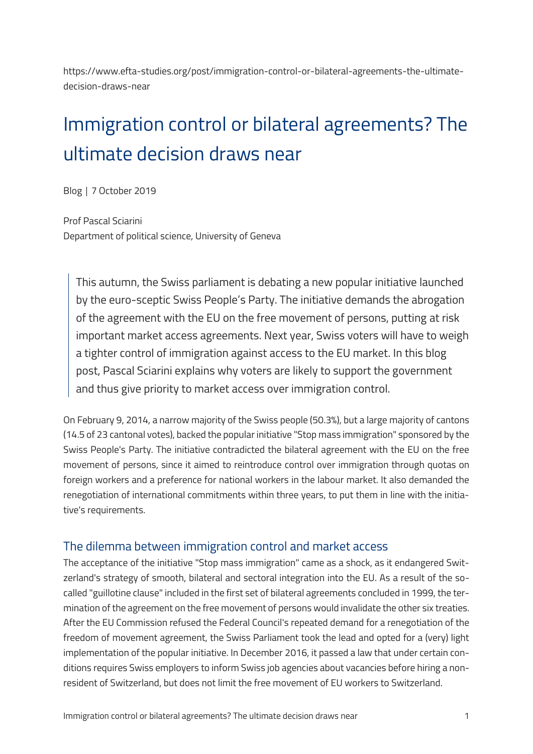https://www.efta-studies.org/post/immigration-control-or-bilateral-agreements-the-ultimatedecision-draws-near

# Immigration control or bilateral agreements? The ultimate decision draws near

Blog │ 7 October 2019

Prof Pascal Sciarini Department of political science, University of Geneva

This autumn, the Swiss parliament is debating a new popular initiative launched by the euro-sceptic Swiss People's Party. The initiative demands the abrogation of the agreement with the EU on the free movement of persons, putting at risk important market access agreements. Next year, Swiss voters will have to weigh a tighter control of immigration against access to the EU market. In this blog post, Pascal Sciarini explains why voters are likely to support the government and thus give priority to market access over immigration control.

On February 9, 2014, a narrow majority of the Swiss people (50.3%), but a large majority of cantons (14.5 of 23 cantonal votes), backed the popular initiative "Stop mass immigration" sponsored by the Swiss People's Party. The initiative contradicted the bilateral agreement with the EU on the free movement of persons, since it aimed to reintroduce control over immigration through quotas on foreign workers and a preference for national workers in the labour market. It also demanded the renegotiation of international commitments within three years, to put them in line with the initiative's requirements.

# The dilemma between immigration control and market access

The acceptance of the initiative "Stop mass immigration" came as a shock, as it endangered Switzerland's strategy of smooth, bilateral and sectoral integration into the EU. As a result of the socalled "guillotine clause" included in the first set of bilateral agreements concluded in 1999, the termination of the agreement on the free movement of persons would invalidate the other six treaties. After the EU Commission refused the Federal Council's repeated demand for a renegotiation of the freedom of movement agreement, the Swiss Parliament took the lead and opted for a (very) light implementation of the popular initiative. In December 2016, it passed a law that under certain conditions requires Swiss employers to inform Swiss job agencies about vacancies before hiring a nonresident of Switzerland, but does not limit the free movement of EU workers to Switzerland.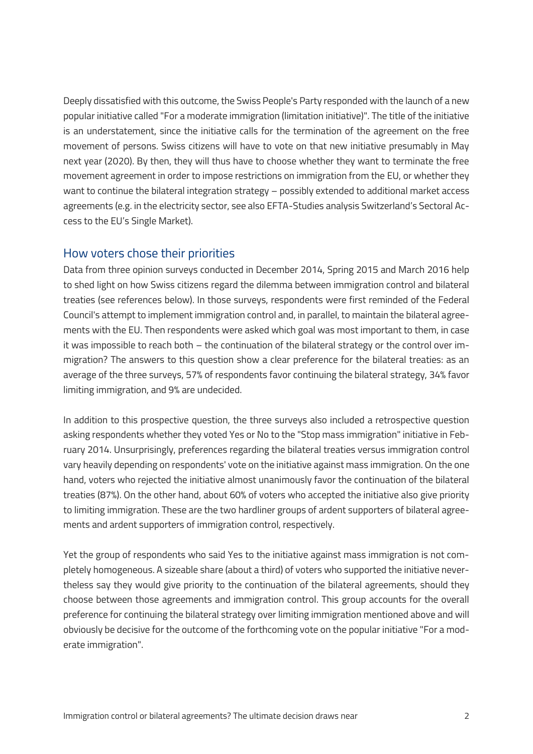Deeply dissatisfied with this outcome, the Swiss People's Party responded with the launch of a new popular initiative called "For a moderate immigration (limitation initiative)". The title of the initiative is an understatement, since the initiative calls for the termination of the agreement on the free movement of persons. Swiss citizens will have to vote on that new initiative presumably in May next year (2020). By then, they will thus have to choose whether they want to terminate the free movement agreement in order to impose restrictions on immigration from the EU, or whether they want to continue the bilateral integration strategy – possibly extended to additional market access agreements (e.g. in the electricity sector, see also EFTA-Studies analysis Switzerland's Sectoral Access to the EU's Single Market).

# How voters chose their priorities

Data from three opinion surveys conducted in December 2014, Spring 2015 and March 2016 help to shed light on how Swiss citizens regard the dilemma between immigration control and bilateral treaties (see references below). In those surveys, respondents were first reminded of the Federal Council's attempt to implement immigration control and, in parallel, to maintain the bilateral agreements with the EU. Then respondents were asked which goal was most important to them, in case it was impossible to reach both – the continuation of the bilateral strategy or the control over immigration? The answers to this question show a clear preference for the bilateral treaties: as an average of the three surveys, 57% of respondents favor continuing the bilateral strategy, 34% favor limiting immigration, and 9% are undecided.

In addition to this prospective question, the three surveys also included a retrospective question asking respondents whether they voted Yes or No to the "Stop mass immigration" initiative in February 2014. Unsurprisingly, preferences regarding the bilateral treaties versus immigration control vary heavily depending on respondents' vote on the initiative against mass immigration. On the one hand, voters who rejected the initiative almost unanimously favor the continuation of the bilateral treaties (87%). On the other hand, about 60% of voters who accepted the initiative also give priority to limiting immigration. These are the two hardliner groups of ardent supporters of bilateral agreements and ardent supporters of immigration control, respectively.

Yet the group of respondents who said Yes to the initiative against mass immigration is not completely homogeneous. A sizeable share (about a third) of voters who supported the initiative nevertheless say they would give priority to the continuation of the bilateral agreements, should they choose between those agreements and immigration control. This group accounts for the overall preference for continuing the bilateral strategy over limiting immigration mentioned above and will obviously be decisive for the outcome of the forthcoming vote on the popular initiative "For a moderate immigration".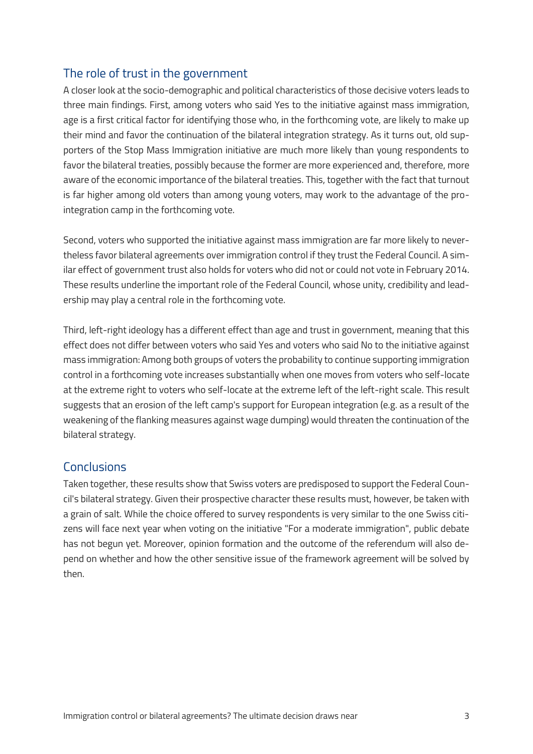# The role of trust in the government

A closer look at the socio-demographic and political characteristics of those decisive voters leads to three main findings. First, among voters who said Yes to the initiative against mass immigration, age is a first critical factor for identifying those who, in the forthcoming vote, are likely to make up their mind and favor the continuation of the bilateral integration strategy. As it turns out, old supporters of the Stop Mass Immigration initiative are much more likely than young respondents to favor the bilateral treaties, possibly because the former are more experienced and, therefore, more aware of the economic importance of the bilateral treaties. This, together with the fact that turnout is far higher among old voters than among young voters, may work to the advantage of the prointegration camp in the forthcoming vote.

Second, voters who supported the initiative against mass immigration are far more likely to nevertheless favor bilateral agreements over immigration control if they trust the Federal Council. A similar effect of government trust also holds for voters who did not or could not vote in February 2014. These results underline the important role of the Federal Council, whose unity, credibility and leadership may play a central role in the forthcoming vote.

Third, left-right ideology has a different effect than age and trust in government, meaning that this effect does not differ between voters who said Yes and voters who said No to the initiative against mass immigration: Among both groups of voters the probability to continue supporting immigration control in a forthcoming vote increases substantially when one moves from voters who self-locate at the extreme right to voters who self-locate at the extreme left of the left-right scale. This result suggests that an erosion of the left camp's support for European integration (e.g. as a result of the weakening of the flanking measures against wage dumping) would threaten the continuation of the bilateral strategy.

#### **Conclusions**

Taken together, these results show that Swiss voters are predisposed to support the Federal Council's bilateral strategy. Given their prospective character these results must, however, be taken with a grain of salt. While the choice offered to survey respondents is very similar to the one Swiss citizens will face next year when voting on the initiative "For a moderate immigration", public debate has not begun yet. Moreover, opinion formation and the outcome of the referendum will also depend on whether and how the other sensitive issue of the framework agreement will be solved by then.